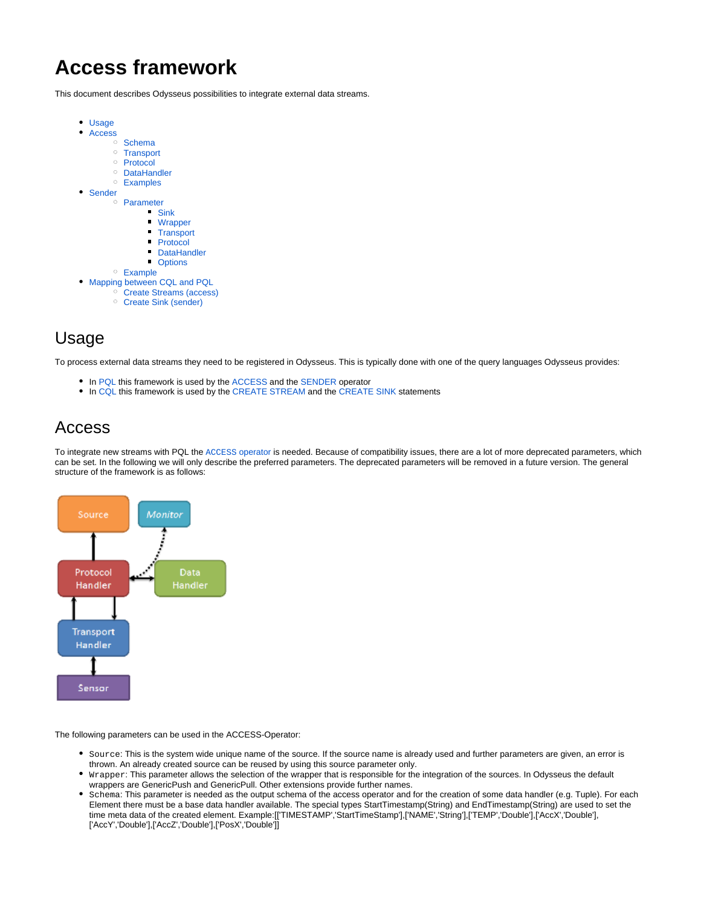# <span id="page-0-2"></span>**Access framework**

This document describes Odysseus possibilities to integrate external data streams.

- [Usage](#page-0-0)  $\bullet$ [Access](#page-0-1) <sup>o</sup> [Schema](#page-1-0) <sup>o</sup> [Transport](#page-1-1) <sup>o</sup> [Protocol](#page-1-2) [DataHandler](#page-1-3) [Examples](#page-2-0)  $\bullet$ [Sender](#page-2-1) [Parameter](#page-3-0) [Sink](#page-3-1) [Wrapper](#page-3-2)  $\blacksquare$ **[Transport](#page-3-3)** [Protocol](#page-3-4) **[DataHandler](#page-3-5)** ■ [Options](#page-3-6) [Example](#page-3-7) [Mapping between CQL and PQL](#page-4-0) [Create Streams \(access\)](#page-4-1)
	- [Create Sink \(sender\)](#page-4-2)

## <span id="page-0-0"></span>Usage

To process external data streams they need to be registered in Odysseus. This is typically done with one of the query languages Odysseus provides:

- In [PQL](https://wiki.odysseus.informatik.uni-oldenburg.de/display/ODYSSEUS/The+Odysseus+Procedural+Query+Language+%28PQL%29+Framework) this framework is used by the [ACCESS a](https://wiki.odysseus.informatik.uni-oldenburg.de/pages/viewpage.action?pageId=4587829#ProceduralQueryLanguage(PQL)-ACCESS)nd the [SENDER](https://wiki.odysseus.informatik.uni-oldenburg.de/pages/viewpage.action?pageId=4587829#ProceduralQueryLanguage(PQL)-SENDER) operator
- In [CQL t](https://wiki.odysseus.informatik.uni-oldenburg.de/pages/viewpage.action?pageId=4587831)his framework is used by the [CREATE STREAM](https://wiki.odysseus.informatik.uni-oldenburg.de/pages/viewpage.action?pageId=4587831#ContinuousQueryLanguage(CQL)-CreateStreams) and the [CREATE SINK](https://wiki.odysseus.informatik.uni-oldenburg.de/pages/viewpage.action?pageId=4587831#ContinuousQueryLanguage(CQL)-CreateSinks) statements

## <span id="page-0-1"></span>Access

To integrate new streams with PQL the ACCESS [operator](https://wiki.odysseus.informatik.uni-oldenburg.de/display/ODYSSEUS/Access+operator) is needed. Because of compatibility issues, there are a lot of more deprecated parameters, which can be set. In the following we will only describe the preferred parameters. The deprecated parameters will be removed in a future version. The general structure of the framework is as follows:



The following parameters can be used in the ACCESS-Operator:

- Source: This is the system wide unique name of the source. If the source name is already used and further parameters are given, an error is thrown. An already created source can be reused by using this source parameter only.
- Wrapper: This parameter allows the selection of the wrapper that is responsible for the integration of the sources. In Odysseus the default wrappers are GenericPush and GenericPull. Other extensions provide further names.
- Schema: This parameter is needed as the output schema of the access operator and for the creation of some data handler (e.g. Tuple). For each Element there must be a base data handler available. The special types StartTimestamp(String) and EndTimestamp(String) are used to set the time meta data of the created element. Example:[['TIMESTAMP','StartTimeStamp'],['NAME','String'],['TEMP','Double'],['AccX','Double'], ['AccY','Double'],['AccZ','Double'],['PosX','Double']]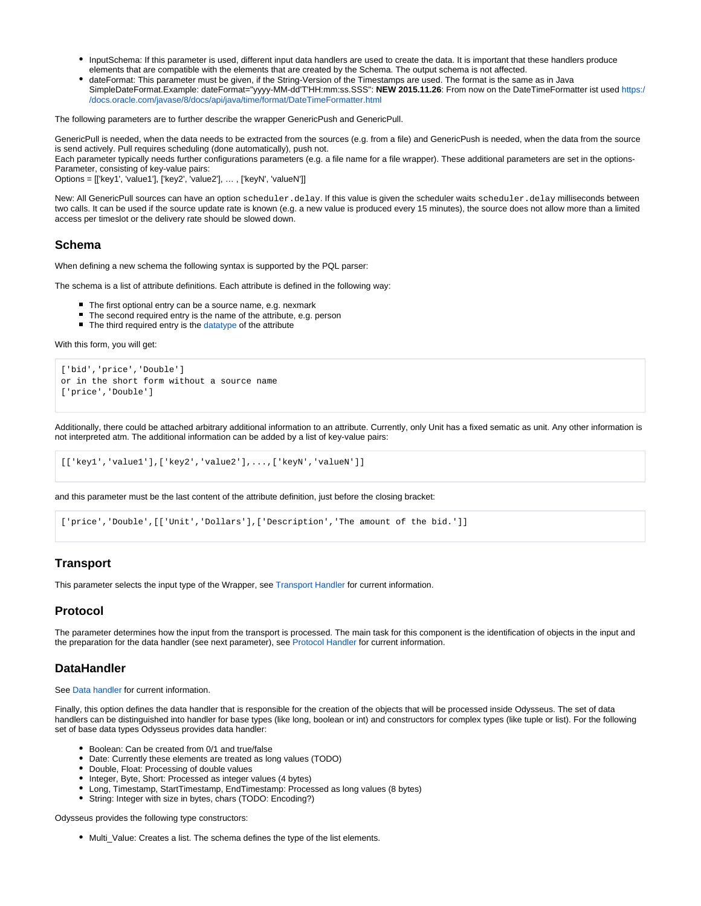- InputSchema: If this parameter is used, different input data handlers are used to create the data. It is important that these handlers produce elements that are compatible with the elements that are created by the Schema. The output schema is not affected.
- dateFormat: This parameter must be given, if the String-Version of the Timestamps are used. The format is the same as in Java SimpleDateFormat.Example: dateFormat="yyyy-MM-dd'T'HH:mm:ss.SSS": **NEW 2015.11.26**: From now on the DateTimeFormatter ist used [https:/](https://docs.oracle.com/javase/8/docs/api/java/time/format/DateTimeFormatter.html) [/docs.oracle.com/javase/8/docs/api/java/time/format/DateTimeFormatter.html](https://docs.oracle.com/javase/8/docs/api/java/time/format/DateTimeFormatter.html)

The following parameters are to further describe the wrapper GenericPush and GenericPull.

GenericPull is needed, when the data needs to be extracted from the sources (e.g. from a file) and GenericPush is needed, when the data from the source is send actively. Pull requires scheduling (done automatically), push not.

Each parameter typically needs further configurations parameters (e.g. a file name for a file wrapper). These additional parameters are set in the options-Parameter, consisting of key-value pairs:

Options = [['key1', 'value1'], ['key2', 'value2'], … , ['keyN', 'valueN']]

New: All GenericPull sources can have an option scheduler.delay. If this value is given the scheduler waits scheduler.delay milliseconds between two calls. It can be used if the source update rate is known (e.g. a new value is produced every 15 minutes), the source does not allow more than a limited access per timeslot or the delivery rate should be slowed down.

#### <span id="page-1-0"></span>**Schema**

When defining a new schema the following syntax is supported by the PQL parser:

The schema is a list of attribute definitions. Each attribute is defined in the following way:

- The first optional entry can be a source name, e.g. nexmark
- The second required entry is the name of the attribute, e.g. person
- The third required entry is the [datatype o](https://wiki.odysseus.informatik.uni-oldenburg.de/display/ODYSSEUS/Datatypes)f the attribute

With this form, you will get:

```
['bid','price','Double']
or in the short form without a source name
['price','Double']
```
Additionally, there could be attached arbitrary additional information to an attribute. Currently, only Unit has a fixed sematic as unit. Any other information is not interpreted atm. The additional information can be added by a list of key-value pairs:

```
[['key1','value1'],['key2','value2'],...,['keyN','valueN']]
```
and this parameter must be the last content of the attribute definition, just before the closing bracket:

['price','Double',[['Unit','Dollars'],['Description','The amount of the bid.']]

## <span id="page-1-1"></span>**Transport**

This parameter selects the input type of the Wrapper, see [Transport Handler](https://wiki.odysseus.informatik.uni-oldenburg.de/display/ODYSSEUS/Transport+handler) for current information.

## <span id="page-1-2"></span>**Protocol**

The parameter determines how the input from the transport is processed. The main task for this component is the identification of objects in the input and the preparation for the data handler (see next parameter), see [Protocol Handler](https://wiki.odysseus.informatik.uni-oldenburg.de/display/ODYSSEUS/Protocol+handler) for current information.

## <span id="page-1-3"></span>**DataHandler**

See [Data handler](https://wiki.odysseus.informatik.uni-oldenburg.de/display/ODYSSEUS/Data+handler) for current information.

Finally, this option defines the data handler that is responsible for the creation of the objects that will be processed inside Odysseus. The set of data handlers can be distinguished into handler for base types (like long, boolean or int) and constructors for complex types (like tuple or list). For the following set of base data types Odysseus provides data handler:

- Boolean: Can be created from 0/1 and true/false
- Date: Currently these elements are treated as long values (TODO)
- Double, Float: Processing of double values
- Integer, Byte, Short: Processed as integer values (4 bytes)
- Long, Timestamp, StartTimestamp, EndTimestamp: Processed as long values (8 bytes)
- String: Integer with size in bytes, chars (TODO: Encoding?)

Odysseus provides the following type constructors:

Multi\_Value: Creates a list. The schema defines the type of the list elements.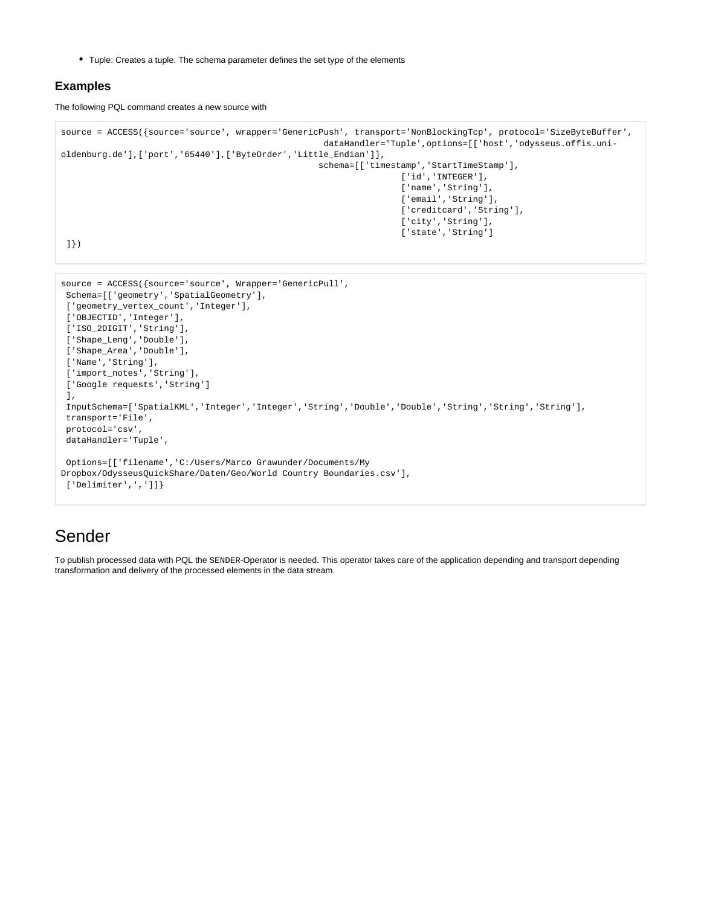Tuple: Creates a tuple. The schema parameter defines the set type of the elements

 Options=[['filename','C:/Users/Marco Grawunder/Documents/My Dropbox/OdysseusQuickShare/Daten/Geo/World Country Boundaries.csv'],

## <span id="page-2-0"></span>**Examples**

The following PQL command creates a new source with

```
source = ACCESS({source='source', wrapper='GenericPush', transport='NonBlockingTcp', protocol='SizeByteBuffer', 
                                                     dataHandler='Tuple',options=[['host','odysseus.offis.uni-
oldenburg.de'],['port','65440'],['ByteOrder','Little_Endian']],
                                                    schema=[['timestamp','StartTimeStamp'],
                                                                    ['id','INTEGER'],
                                                                    ['name','String'],
                                                                    ['email','String'],
                                                                    ['creditcard','String'],
                                                                    ['city','String'],
                                                                     ['state','String'] 
 ]})
source = ACCESS({source='source', Wrapper='GenericPull', 
 Schema=[['geometry','SpatialGeometry'], 
 ['geometry_vertex_count','Integer'],
 ['OBJECTID','Integer'],
 ['ISO_2DIGIT','String'],
 ['Shape_Leng','Double'],
['Shape Area','Double'],
 ['Name','String'],
['import_notes','String'],
 ['Google requests','String']
```

```
Sender
```
 transport='File', protocol='csv', dataHandler='Tuple',

['Delimiter',',']]}

],

To publish processed data with PQL the SENDER-Operator is needed. This operator takes care of the application depending and transport depending transformation and delivery of the processed elements in the data stream.

InputSchema=['SpatialKML','Integer','Integer','String','Double','Double','String','String','String'],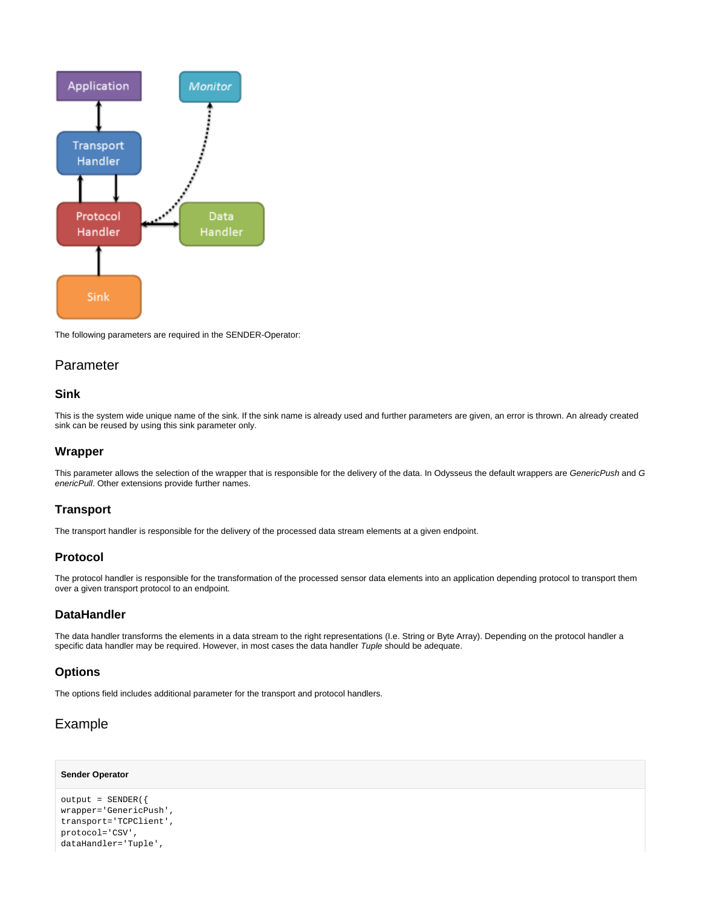

The following parameters are required in the SENDER-Operator:

## <span id="page-3-0"></span>Parameter

## <span id="page-3-1"></span>**Sink**

This is the system wide unique name of the sink. If the sink name is already used and further parameters are given, an error is thrown. An already created sink can be reused by using this sink parameter only.

#### <span id="page-3-2"></span>**Wrapper**

This parameter allows the selection of the wrapper that is responsible for the delivery of the data. In Odysseus the default wrappers are GenericPush and G enericPull. Other extensions provide further names.

## <span id="page-3-3"></span>**Transport**

The transport handler is responsible for the delivery of the processed data stream elements at a given endpoint.

## <span id="page-3-4"></span>**Protocol**

The protocol handler is responsible for the transformation of the processed sensor data elements into an application depending protocol to transport them over a given transport protocol to an endpoint.

#### <span id="page-3-5"></span>**DataHandler**

The data handler transforms the elements in a data stream to the right representations (I.e. String or Byte Array). Depending on the protocol handler a specific data handler may be required. However, in most cases the data handler Tuple should be adequate.

#### <span id="page-3-6"></span>**Options**

The options field includes additional parameter for the transport and protocol handlers.

## <span id="page-3-7"></span>Example

#### **Sender Operator**

```
output = SENDER({
wrapper='GenericPush',
transport='TCPClient',
protocol='CSV',
dataHandler='Tuple',
```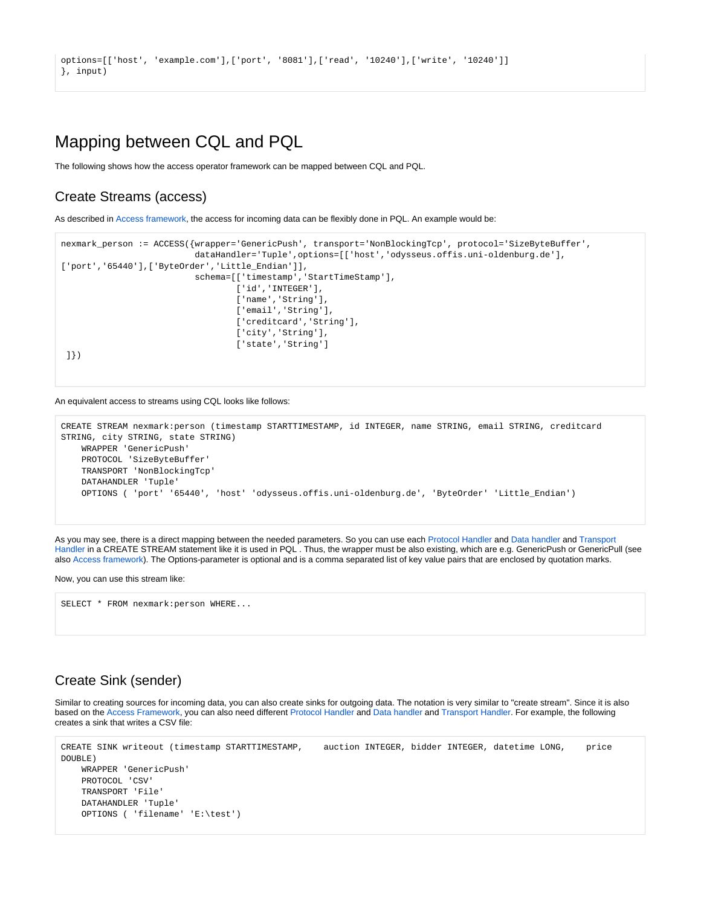```
options=[['host', 'example.com'],['port', '8081'],['read', '10240'],['write', '10240']]
}, input)
```
## <span id="page-4-0"></span>Mapping between CQL and PQL

The following shows how the access operator framework can be mapped between CQL and PQL.

## <span id="page-4-1"></span>Create Streams (access)

As described in [Access framework,](#page-0-2) the access for incoming data can be flexibly done in PQL. An example would be:

```
nexmark_person := ACCESS({wrapper='GenericPush', transport='NonBlockingTcp', protocol='SizeByteBuffer', 
                           dataHandler='Tuple',options=[['host','odysseus.offis.uni-oldenburg.de'],
['port','65440'],['ByteOrder','Little_Endian']],
                           schema=[['timestamp','StartTimeStamp'],
                                  ['id','INTEGER'],
                                   ['name','String'],
                                  ['email','String'],
                                  ['creditcard','String'],
                                  ['city','String'],
                                  ['state','String']
 ]})
```
An equivalent access to streams using CQL looks like follows:

```
CREATE STREAM nexmark:person (timestamp STARTTIMESTAMP, id INTEGER, name STRING, email STRING, creditcard 
STRING, city STRING, state STRING)
    WRAPPER 'GenericPush' 
    PROTOCOL 'SizeByteBuffer'
     TRANSPORT 'NonBlockingTcp'
    DATAHANDLER 'Tuple'
    OPTIONS ( 'port' '65440', 'host' 'odysseus.offis.uni-oldenburg.de', 'ByteOrder' 'Little_Endian')
```
As you may see, there is a direct mapping between the needed parameters. So you can use each [Protocol Handler](https://wiki.odysseus.informatik.uni-oldenburg.de/display/ODYSSEUS/Protocol+handler) and [Data handler](https://wiki.odysseus.informatik.uni-oldenburg.de/display/ODYSSEUS/Data+handler) and [Transport](https://wiki.odysseus.informatik.uni-oldenburg.de/display/ODYSSEUS/Transport+handler)  [Handler](https://wiki.odysseus.informatik.uni-oldenburg.de/display/ODYSSEUS/Transport+handler) in a CREATE STREAM statement like it is used in PQL. Thus, the wrapper must be also existing, which are e.g. GenericPush or GenericPull (see also [Access framework](#page-0-2)). The Options-parameter is optional and is a comma separated list of key value pairs that are enclosed by quotation marks.

Now, you can use this stream like:

SELECT \* FROM nexmark:person WHERE...

## <span id="page-4-2"></span>Create Sink (sender)

Similar to creating sources for incoming data, you can also create sinks for outgoing data. The notation is very similar to "create stream". Since it is also based on the [Access Framework](#page-0-2), you can also need different [Protocol Handler](https://wiki.odysseus.informatik.uni-oldenburg.de/display/ODYSSEUS/Protocol+handler) and [Data handler](https://wiki.odysseus.informatik.uni-oldenburg.de/display/ODYSSEUS/Data+handler) and [Transport Handler](https://wiki.odysseus.informatik.uni-oldenburg.de/display/ODYSSEUS/Transport+handler). For example, the following creates a sink that writes a CSV file:

```
CREATE SINK writeout (timestamp STARTTIMESTAMP, auction INTEGER, bidder INTEGER, datetime LONG, price 
DOUBLE)
    WRAPPER 'GenericPush'
    PROTOCOL 'CSV'
    TRANSPORT 'File'
     DATAHANDLER 'Tuple'
    OPTIONS ( 'filename' 'E:\test')
```